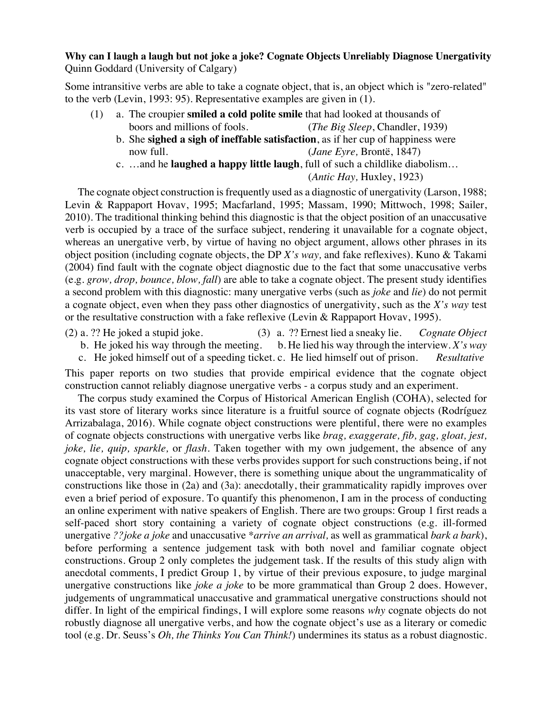## **Why can I laugh a laugh but not joke a joke? Cognate Objects Unreliably Diagnose Unergativity** Quinn Goddard (University of Calgary)

Some intransitive verbs are able to take a cognate object, that is, an object which is "zero-related" to the verb (Levin, 1993: 95). Representative examples are given in (1).

- (1) a. The croupier **smiled a cold polite smile** that had looked at thousands of boors and millions of fools. (*The Big Sleep*, Chandler, 1939)
	- b. She **sighed a sigh of ineffable satisfaction**, as if her cup of happiness were now full. (*Jane Eyre,* Brontë, 1847)
	- c. …and he **laughed a happy little laugh**, full of such a childlike diabolism…

(*Antic Hay,* Huxley, 1923)

The cognate object construction is frequently used as a diagnostic of unergativity (Larson, 1988; Levin & Rappaport Hovav, 1995; Macfarland, 1995; Massam, 1990; Mittwoch, 1998; Sailer, 2010). The traditional thinking behind this diagnostic is that the object position of an unaccusative verb is occupied by a trace of the surface subject, rendering it unavailable for a cognate object, whereas an unergative verb, by virtue of having no object argument, allows other phrases in its object position (including cognate objects, the DP *X's way,* and fake reflexives). Kuno & Takami (2004) find fault with the cognate object diagnostic due to the fact that some unaccusative verbs (e.g. *grow, drop, bounce, blow, fall*) are able to take a cognate object. The present study identifies a second problem with this diagnostic: many unergative verbs (such as *joke* and *lie*) do not permit a cognate object, even when they pass other diagnostics of unergativity, such as the *X's way* test or the resultative construction with a fake reflexive (Levin & Rappaport Hovav, 1995).

- (2) a. ?? He joked a stupid joke. (3) a. ?? Ernest lied a sneaky lie. *Cognate Object* 
	- b. He joked his way through the meeting. b. He lied his way through the interview. *X's way*  c. He joked himself out of a speeding ticket. c. He lied himself out of prison. *Resultative*

This paper reports on two studies that provide empirical evidence that the cognate object construction cannot reliably diagnose unergative verbs - a corpus study and an experiment.

The corpus study examined the Corpus of Historical American English (COHA), selected for its vast store of literary works since literature is a fruitful source of cognate objects (Rodríguez Arrizabalaga, 2016). While cognate object constructions were plentiful, there were no examples of cognate objects constructions with unergative verbs like *brag, exaggerate, fib, gag, gloat, jest, joke, lie, quip, sparkle,* or *flash*. Taken together with my own judgement, the absence of any cognate object constructions with these verbs provides support for such constructions being, if not unacceptable, very marginal. However, there is something unique about the ungrammaticality of constructions like those in (2a) and (3a): anecdotally, their grammaticality rapidly improves over even a brief period of exposure. To quantify this phenomenon, I am in the process of conducting an online experiment with native speakers of English. There are two groups: Group 1 first reads a self-paced short story containing a variety of cognate object constructions (e.g. ill-formed unergative *??joke a joke* and unaccusative *\*arrive an arrival,* as well as grammatical *bark a bark*), before performing a sentence judgement task with both novel and familiar cognate object constructions. Group 2 only completes the judgement task. If the results of this study align with anecdotal comments, I predict Group 1, by virtue of their previous exposure, to judge marginal unergative constructions like *joke a joke* to be more grammatical than Group 2 does. However, judgements of ungrammatical unaccusative and grammatical unergative constructions should not differ. In light of the empirical findings, I will explore some reasons *why* cognate objects do not robustly diagnose all unergative verbs, and how the cognate object's use as a literary or comedic tool (e.g. Dr. Seuss's *Oh, the Thinks You Can Think!*) undermines its status as a robust diagnostic.